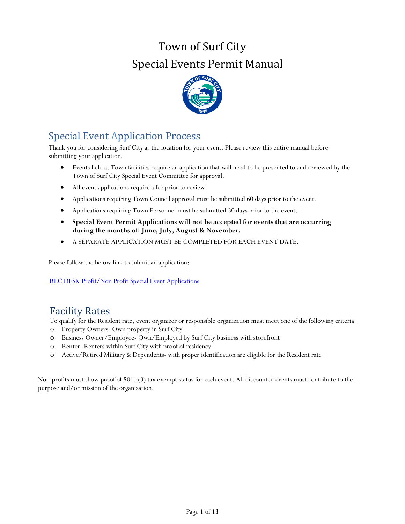# Town of Surf City Special Events Permit Manual



# <span id="page-0-0"></span>Special Event Application Process

Thank you for considering Surf City as the location for your event. Please review this entire manual before submitting your application.

- Events held at Town facilities require an application that will need to be presented to and reviewed by the Town of Surf City Special Event Committee for approval.
- All event applications require a fee prior to review.
- Applications requiring Town Council approval must be submitted 60 days prior to the event.
- Applications requiring Town Personnel must be submitted 30 days prior to the event.
- **Special Event Permit Applications will not be accepted for events that are occurring during the months of: June, July, August & November.**
- A SEPARATE APPLICATION MUST BE COMPLETED FOR EACH EVENT DATE.

Please follow the below link to submit an application:

REC DESK Profit/Non Profit Special Event Applications

# Facility Rates

To qualify for the Resident rate, event organizer or responsible organization must meet one of the following criteria:

- o Property Owners- Own property in Surf City
- o Business Owner/Employee- Own/Employed by Surf City business with storefront
- o Renter- Renters within Surf City with proof of residency
- o Active/Retired Military & Dependents- with proper identification are eligible for the Resident rate

Non-profits must show proof of 501c (3) tax exempt status for each event. All discounted events must contribute to the purpose and/or mission of the organization.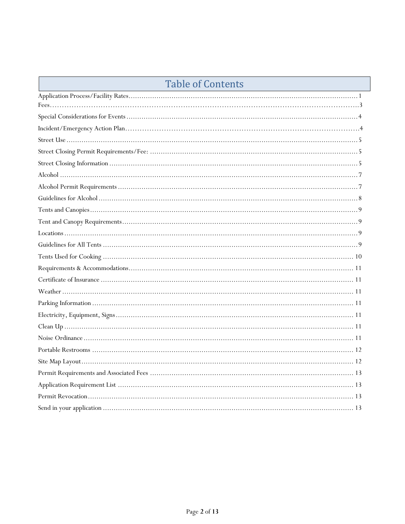# **Table of Contents**

<span id="page-1-0"></span>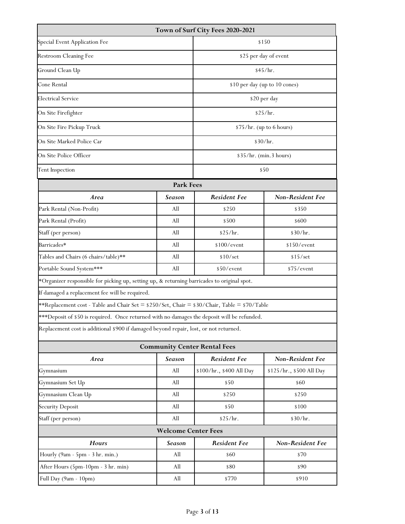| Town of Surf City Fees 2020-2021                                                             |                                                                                             |                                     |                          |  |  |  |  |  |  |  |
|----------------------------------------------------------------------------------------------|---------------------------------------------------------------------------------------------|-------------------------------------|--------------------------|--|--|--|--|--|--|--|
| Special Event Application Fee                                                                | \$150                                                                                       |                                     |                          |  |  |  |  |  |  |  |
| <b>Restroom Cleaning Fee</b>                                                                 | \$25 per day of event                                                                       |                                     |                          |  |  |  |  |  |  |  |
| Ground Clean Up                                                                              |                                                                                             | \$45/hr.                            |                          |  |  |  |  |  |  |  |
| Cone Rental                                                                                  | \$10 per day (up to 10 cones)                                                               |                                     |                          |  |  |  |  |  |  |  |
| <b>Electrical Service</b>                                                                    | \$20 per day                                                                                |                                     |                          |  |  |  |  |  |  |  |
| On Site Firefighter                                                                          | \$25/hr.                                                                                    |                                     |                          |  |  |  |  |  |  |  |
| On Site Fire Pickup Truck                                                                    | \$75/hr. (up to 6 hours)                                                                    |                                     |                          |  |  |  |  |  |  |  |
| On Site Marked Police Car                                                                    | \$30/hr.                                                                                    |                                     |                          |  |  |  |  |  |  |  |
| On Site Police Officer                                                                       | \$35/hr. (min.3 hours)                                                                      |                                     |                          |  |  |  |  |  |  |  |
| Tent Inspection                                                                              | \$50                                                                                        |                                     |                          |  |  |  |  |  |  |  |
| <b>Park Fees</b>                                                                             |                                                                                             |                                     |                          |  |  |  |  |  |  |  |
| Area                                                                                         | <b>Season</b>                                                                               | <b>Resident Fee</b>                 | Non-Resident Fee         |  |  |  |  |  |  |  |
| Park Rental (Non-Profit)                                                                     | All                                                                                         | \$250                               | \$350                    |  |  |  |  |  |  |  |
| Park Rental (Profit)                                                                         | All                                                                                         | \$500                               | \$600                    |  |  |  |  |  |  |  |
| Staff (per person)                                                                           | All                                                                                         | \$25/hr.                            | \$30/hr.                 |  |  |  |  |  |  |  |
| Barricades*                                                                                  | All                                                                                         | \$100/event                         | \$150/event              |  |  |  |  |  |  |  |
| Tables and Chairs (6 chairs/table)**                                                         | All                                                                                         | \$10/set                            | \$15/set                 |  |  |  |  |  |  |  |
| Portable Sound System***                                                                     | All                                                                                         | \$50/event                          | \$75/event               |  |  |  |  |  |  |  |
|                                                                                              | *Organizer responsible for picking up, setting up, & returning barricades to original spot. |                                     |                          |  |  |  |  |  |  |  |
| If damaged a replacement fee will be required.                                               |                                                                                             |                                     |                          |  |  |  |  |  |  |  |
| **Replacement cost - Table and Chair Set = \$250/Set, Chair = \$30/Chair, Table = \$70/Table |                                                                                             |                                     |                          |  |  |  |  |  |  |  |
| ***Deposit of \$50 is required. Once returned with no damages the deposit will be refunded.  |                                                                                             |                                     |                          |  |  |  |  |  |  |  |
| Replacement cost is additional \$900 if damaged beyond repair, lost, or not returned.        |                                                                                             |                                     |                          |  |  |  |  |  |  |  |
|                                                                                              |                                                                                             | <b>Community Center Rental Fees</b> |                          |  |  |  |  |  |  |  |
| Area                                                                                         | <b>Season</b>                                                                               | <b>Resident Fee</b>                 | Non-Resident Fee         |  |  |  |  |  |  |  |
| Gymnasium                                                                                    | All                                                                                         | \$100/hr., \$400 All Day            | \$125/hr., \$500 All Day |  |  |  |  |  |  |  |
| Gymnasium Set Up                                                                             | All                                                                                         | \$50                                | \$60                     |  |  |  |  |  |  |  |
| Gymnasium Clean Up                                                                           | All                                                                                         | \$250                               | \$250                    |  |  |  |  |  |  |  |
| <b>Security Deposit</b>                                                                      | All                                                                                         | \$50                                | \$100                    |  |  |  |  |  |  |  |
| Staff (per person)                                                                           | All                                                                                         | \$25/hr.                            | \$30/hr.                 |  |  |  |  |  |  |  |
| <b>Welcome Center Fees</b>                                                                   |                                                                                             |                                     |                          |  |  |  |  |  |  |  |
| <b>Hours</b>                                                                                 | Season                                                                                      | <b>Resident Fee</b>                 | <b>Non-Resident Fee</b>  |  |  |  |  |  |  |  |
| Hourly (9am - 5pm - 3 hr. min.)                                                              | All                                                                                         | \$60                                | \$70                     |  |  |  |  |  |  |  |
| After Hours (5pm-10pm - 3 hr. min)                                                           | All                                                                                         | \$80                                | \$90                     |  |  |  |  |  |  |  |
| Full Day (9am - 10pm)                                                                        | All                                                                                         | \$770                               | \$910                    |  |  |  |  |  |  |  |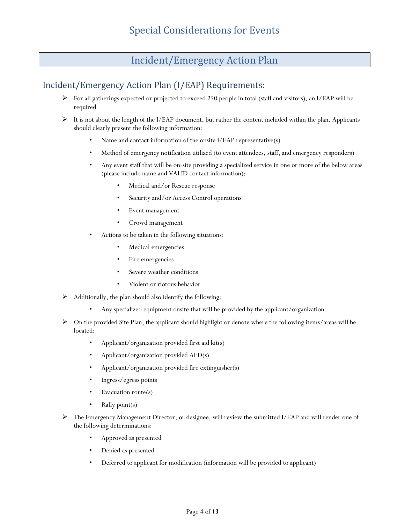# <span id="page-3-0"></span>Incident/Emergency Action Plan

# Incident/Emergency Action Plan (I/EAP) Requirements:

- For all gatherings expected or projected to exceed 250 people in total (staff and visitors), an I/EAP will be required
- It is not about the length of the I/EAP document, but rather the content included within the plan. Applicants should clearly present the following information:
	- Name and contact information of the onsite I/EAP representative(s)
	- Method of emergency notification utilized (to event attendees, staff, and emergency responders)
	- Any event staff that will be on-site providing a specialized service in one or more of the below areas (please include name and VALID contact information):
		- Medical and/or Rescue response
		- Security and/or Access Control operations
		- Event management
		- Crowd management
	- Actions to be taken in the following situations:
		- Medical emergencies
		- Fire emergencies
		- Severe weather conditions
		- Violent or riotous behavior
- $\triangleright$  Additionally, the plan should also identify the following:
	- Any specialized equipment onsite that will be provided by the applicant/organization
- On the provided Site Plan, the applicant should highlight or denote where the following items/areas will be located:
	- Applicant/organization provided first aid kit(s)
	- Applicant/organization provided AED(s)
	- Applicant/organization provided fire extinguisher(s)
	- Ingress/egress points
	- Evacuation route(s)
	- Rally point $(s)$
- The Emergency Management Director, or designee, will review the submitted I/EAP and will render one of the following determinations:
	- Approved as presented
	- Denied as presented
	- Deferred to applicant for modification (information will be provided to applicant)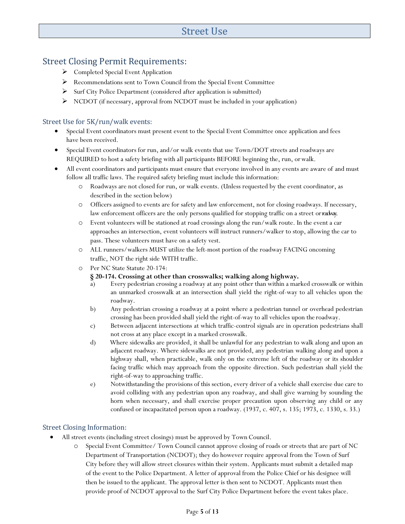# Street Use

## Street Closing Permit Requirements:

- ▶ Completed Special Event Application
- Recommendations sent to Town Council from the Special Event Committee
- $\triangleright$  Surf City Police Department (considered after application is submitted)
- NCDOT (if necessary, approval from NCDOT must be included in your application)

#### <span id="page-4-0"></span>Street Use for 5K/run/walk events:

- Special Event coordinators must present event to the Special Event Committee once application and fees have been received.
- Special Event coordinators for run, and/or walk events that use Town/DOT streets and roadways are REQUIRED to host a safety briefing with all participants BEFORE beginning the, run, orwalk.
- All event coordinators and participants must ensure that everyone involved in any events are aware of and must follow all traffic laws. The required safety briefing must include this information:
	- o Roadways are not closed for run, or walk events. (Unless requested by the event coordinator, as described in the section below)
	- o Officers assigned to events are for safety and law enforcement, not for closing roadways. If necessary, law enforcement officers are the only persons qualified for stopping traffic on a street orroadway.
	- o Event volunteers will be stationed at road crossings along the run/walk route. In the event a car approaches an intersection, event volunteers will instruct runners/walker to stop, allowing the car to pass. These volunteers must have on a safety vest.
	- o ALL runners/walkers MUST utilize the left-most portion of the roadway FACING oncoming traffic, NOT the right side WITH traffic.
	- o Per NC State Statute 20-174:

#### **§ 20-174. Crossing at other than crosswalks; walking along highway.**

- a) Every pedestrian crossing a roadway at any point other than within a marked crosswalk or within an unmarked crosswalk at an intersection shall yield the right-of-way to all vehicles upon the roadway.
- b) Any pedestrian crossing a roadway at a point where a pedestrian tunnel or overhead pedestrian crossing has been provided shall yield the right-of-way to all vehicles upon the roadway.
- c) Between adjacent intersections at which traffic-control signals are in operation pedestrians shall not cross at any place except in a marked crosswalk.
- d) Where sidewalks are provided, it shall be unlawful for any pedestrian to walk along and upon an adjacent roadway. Where sidewalks are not provided, any pedestrian walking along and upon a highway shall, when practicable, walk only on the extreme left of the roadway or its shoulder facing traffic which may approach from the opposite direction. Such pedestrian shall yield the right-of-way to approaching traffic.
- e) Notwithstanding the provisions of this section, every driver of a vehicle shall exercise due care to avoid colliding with any pedestrian upon any roadway, and shall give warning by sounding the horn when necessary, and shall exercise proper precaution upon observing any child or any confused or incapacitated person upon a roadway. (1937, c. 407, s. 135; 1973, c. 1330, s. 33.)

#### Street Closing Information:

- All street events (including street closings) must be approved by Town Council.
	- o Special Event Committee/ Town Council cannot approve closing of roads or streets that are part of NC Department of Transportation (NCDOT); they do however require approval from the Town of Surf City before they will allow street closures within their system. Applicants must submit a detailed map of the event to the Police Department. A letter of approval from the Police Chief or his designee will then be issued to the applicant. The approval letter is then sent to NCDOT. Applicants must then provide proof of NCDOT approval to the Surf City Police Department before the event takes place.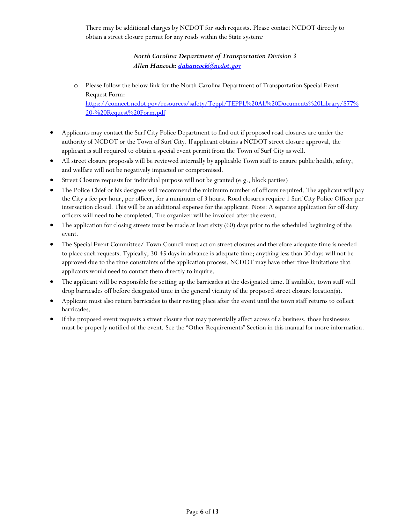There may be additional charges by NCDOT for such requests. Please contact NCDOT directly to obtain a street closure permit for any roads within the State system*:* 

### *North Carolina Department of Transportation Division 3 Allen Hancock: [dahancock@ncdot.gov](mailto:dahancock@ncdot.gov)*

- o Please follow the below link for the North Carolina Department of Transportation Special Event Request Form: [https://connect.ncdot.gov/resources/safety/Teppl/TEPPL%20All%20Documents%20Library/S77%](https://connect.ncdot.gov/resources/safety/Teppl/TEPPL%20All%20Documents%20Library/S77%20-%20Request%20Form.pdf) [20-%20Request%20Form.pdf](https://connect.ncdot.gov/resources/safety/Teppl/TEPPL%20All%20Documents%20Library/S77%20-%20Request%20Form.pdf)
- Applicants may contact the Surf City Police Department to find out if proposed road closures are under the authority of NCDOT or the Town of Surf City. If applicant obtains a NCDOT street closure approval, the applicant is still required to obtain a special event permit from the Town of Surf City aswell.
- All street closure proposals will be reviewed internally by applicable Town staff to ensure public health, safety, and welfare will not be negatively impacted or compromised.
- Street Closure requests for individual purpose will not be granted (e.g., block parties)
- The Police Chief or his designee will recommend the minimum number of officers required. The applicant will pay the City a fee per hour, per officer, for a minimum of 3 hours. Road closures require 1 Surf City Police Officer per intersection closed. This will be an additional expense for the applicant. Note: A separate application for off duty officers will need to be completed. The organizer will be invoiced after the event.
- The application for closing streets must be made at least sixty (60) days prior to the scheduled beginning of the event.
- The Special Event Committee/ Town Council must act on street closures and therefore adequate time is needed to place such requests. Typically, 30-45 days in advance is adequate time; anything less than 30 days will not be approved due to the time constraints of the application process. NCDOT may have other time limitations that applicants would need to contact them directly to inquire.
- The applicant will be responsible for setting up the barricades at the designated time. If available, town staff will drop barricades off before designated time in the general vicinity of the proposed street closure location(s).
- Applicant must also return barricades to their resting place after the event until the town staff returns to collect barricades.
- <span id="page-5-0"></span> If the proposed event requests a street closure that may potentially affect access of a business, those businesses must be properly notified of the event. See the "Other Requirements" Section in this manual for more information.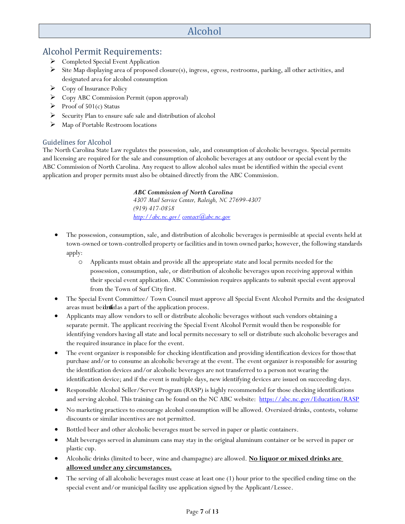# Alcohol

## <span id="page-6-0"></span>Alcohol Permit Requirements:

- ▶ Completed Special Event Application
- $\triangleright$  Site Map displaying area of proposed closure(s), ingress, egress, restrooms, parking, all other activities, and designated area for alcohol consumption
- Copy of Insurance Policy
- Copy ABC Commission Permit (upon approval)
- Proof of  $501(c)$  Status
- $\triangleright$  Security Plan to ensure safe sale and distribution of alcohol
- $\triangleright$  Map of Portable Restroom locations

#### <span id="page-6-1"></span>Guidelines for Alcohol

The North Carolina State Law regulates the possession, sale, and consumption of alcoholic beverages. Special permits and licensing are required for the sale and consumption of alcoholic beverages at any outdoor or special event by the ABC Commission of North Carolina. Any request to allow alcohol sales must be identified within the special event application and proper permits must also be obtained directly from the ABC Commission.

#### *ABC Commission of North Carolina*

*4307 Mail Service Center, Raleigh, NC 27699-4307 (919) 417-0858 <http://abc.nc.gov/> [contact@abc.nc.gov](mailto:contact@abc.nc.gov)*

- The possession, consumption, sale, and distribution of alcoholic beverages is permissible at special events held at town-owned or town-controlled property or facilities and in town owned parks; however, the following standards apply:
	- o Applicants must obtain and provide all the appropriate state and local permits needed for the possession, consumption, sale, or distribution of alcoholic beverages upon receiving approval within their special event application. ABC Commission requires applicants to submit special event approval from the Town of Surf City first.
- The Special Event Committee/ Town Council must approve all Special Event Alcohol Permits and the designated areas must beidentified as a part of the application process.
- Applicants may allow vendors to sell or distribute alcoholic beverages without such vendors obtaining a separate permit. The applicant receiving the Special Event Alcohol Permit would then be responsible for identifying vendors having all state and local permits necessary to sell or distribute such alcoholic beverages and the required insurance in place for the event.
- The event organizer is responsible for checking identification and providing identification devices for thosethat purchase and/or to consume an alcoholic beverage at the event. The event organizer is responsible for assuring the identification devices and/or alcoholic beverages are not transferred to a person not wearing the identification device; and if the event is multiple days, new identifying devices are issued on succeeding days.
- Responsible Alcohol Seller/Server Program (RASP) is highly recommended for those checking identifications and serving alcohol. This training can be found on the NC ABC website: <https://abc.nc.gov/Education/RASP>
- No marketing practices to encourage alcohol consumption will be allowed. Oversized drinks, contests, volume discounts or similar incentives are not permitted.
- Bottled beer and other alcoholic beverages must be served in paper or plastic containers.
- Malt beverages served in aluminum cans may stay in the original aluminum container or be served in paper or plastic cup.
- Alcoholic drinks (limited to beer, wine and champagne) are allowed. **No liquor or mixed drinks are allowed under any circumstances.**
- The serving of all alcoholic beverages must cease at least one (1) hour prior to the specified ending time on the special event and/or municipal facility use application signed by the Applicant/Lessee.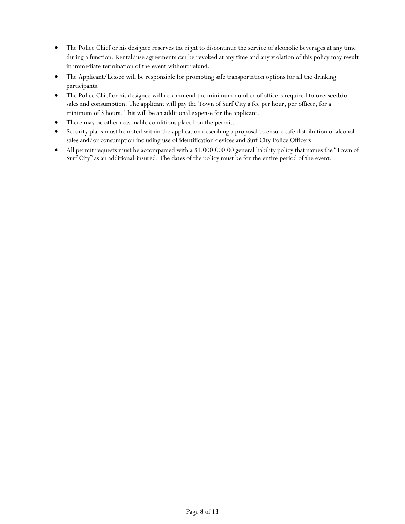- The Police Chief or his designee reserves the right to discontinue the service of alcoholic beverages at any time during a function. Rental/use agreements can be revoked at any time and any violation of this policy may result in immediate termination of the event without refund.
- The Applicant/Lessee will be responsible for promoting safe transportation options for all the drinking participants.
- The Police Chief or his designee will recommend the minimum number of officers required to oversee add sales and consumption. The applicant will pay the Town of Surf City a fee per hour, per officer, for a minimum of 3 hours. This will be an additional expense for the applicant.
- There may be other reasonable conditions placed on the permit.
- Security plans must be noted within the application describing a proposal to ensure safe distribution of alcohol sales and/or consumption including use of identification devices and Surf City Police Officers.
- <span id="page-7-0"></span> All permit requests must be accompanied with a \$1,000,000.00 general liability policy that names the "Town of Surf City" as an additional-insured. The dates of the policy must be for the entire period of the event.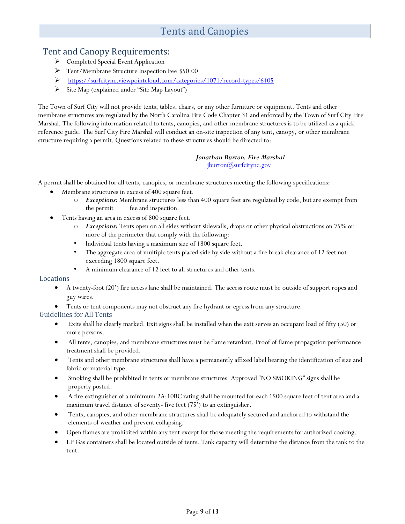# Tents and Canopies

### <span id="page-8-0"></span>Tent and Canopy Requirements:

- ▶ Completed Special Event Application
- Tent/Membrane Structure Inspection Fee:\$50.00
- <https://surfcitync.viewpointcloud.com/categories/1071/record-types/6405>
- $\triangleright$  Site Map (explained under "Site Map Layout")

The Town of Surf City will not provide tents, tables, chairs, or any other furniture or equipment. Tents and other membrane structures are regulated by the North Carolina Fire Code Chapter 31 and enforced by the Town of Surf City Fire Marshal. The following information related to tents, canopies, and other membrane structures is to be utilized as a quick reference guide. The Surf City Fire Marshal will conduct an on-site inspection of any tent, canopy, or other membrane structure requiring a permit. Questions related to these structures should be directed to:

#### *Jonathan Burton, Fire Marshal <u>iburton</u>(a)surfcitync.gov*

A permit shall be obtained for all tents, canopies, or membrane structures meeting the following specifications:

- Membrane structures in excess of 400 square feet.
	- o *Exceptions:* Membrane structures less than 400 square feet are regulated by code, but are exempt from the permit fee and inspection.
- Tents having an area in excess of 800 square feet.
	- o *Exceptions:* Tents open on all sides without sidewalls, drops or other physical obstructions on 75% or more of the perimeter that comply with the following:
	- Individual tents having a maximum size of 1800 square feet.
	- The aggregate area of multiple tents placed side by side without a fire break clearance of 12 feet not exceeding 1800 square feet.
	- A minimum clearance of 12 feet to all structures and other tents.

#### <span id="page-8-1"></span>Locations

- A twenty-foot (20') fire access lane shall be maintained. The access route must be outside of support ropes and guy wires.
- Tents or tent components may not obstruct any fire hydrant or egress from any structure.

#### <span id="page-8-2"></span>Guidelines for All Tents

- Exits shall be clearly marked. Exit signs shall be installed when the exit serves an occupant load of fifty (50) or more persons.
- All tents, canopies, and membrane structures must be flame retardant. Proof of flame propagation performance treatment shall be provided.
- Tents and other membrane structures shall have a permanently affixed label bearing the identification of size and fabric or material type.
- Smoking shall be prohibited in tents or membrane structures. Approved "NO SMOKING" signs shall be properly posted.
- A fire extinguisher of a minimum 2A:10BC rating shall be mounted for each 1500 square feet of tent area and a maximum travel distance of seventy- five feet (75') to an extinguisher.
- Tents, canopies, and other membrane structures shall be adequately secured and anchored to withstand the elements of weather and prevent collapsing.
- Open flames are prohibited within any tent except for those meeting the requirements for authorized cooking.
- LP Gas containers shall be located outside of tents. Tank capacity will determine the distance from the tank to the tent.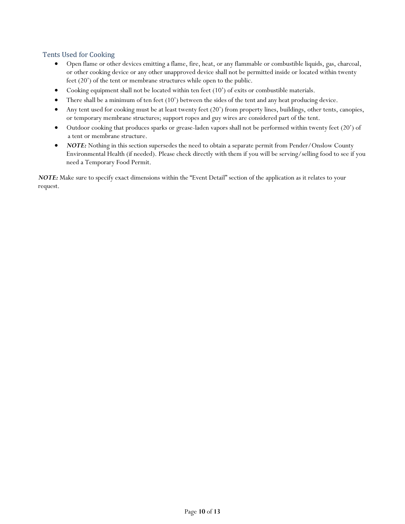#### Tents Used for Cooking

- Open flame or other devices emitting a flame, fire, heat, or any flammable or combustible liquids, gas, charcoal, or other cooking device or any other unapproved device shall not be permitted inside or located within twenty feet (20') of the tent or membrane structures while open to the public.
- Cooking equipment shall not be located within ten feet (10') of exits or combustible materials.
- There shall be a minimum of ten feet (10') between the sides of the tent and any heat producing device.
- Any tent used for cooking must be at least twenty feet (20') from property lines, buildings, other tents, canopies, or temporary membrane structures; support ropes and guy wires are considered part of the tent.
- Outdoor cooking that produces sparks or grease-laden vapors shall not be performed within twenty feet (20') of a tent or membrane structure.
- *NOTE:* Nothing in this section supersedes the need to obtain a separate permit from Pender/Onslow County Environmental Health (if needed). Please check directly with them if you will be serving/selling food to see if you need a Temporary Food Permit.

*NOTE:* Make sure to specify exact dimensions within the "Event Detail" section of the application as it relates to your request.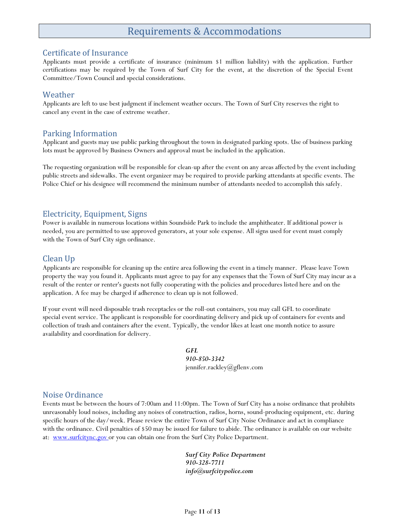# <span id="page-10-2"></span>Requirements & Accommodations

#### <span id="page-10-1"></span><span id="page-10-0"></span>Certificate of Insurance

Applicants must provide a certificate of insurance (minimum \$1 million liability) with the application. Further certifications may be required by the Town of Surf City for the event, at the discretion of the Special Event Committee/Town Council and special considerations.

#### Weather

Applicants are left to use best judgment if inclement weather occurs. The Town of Surf City reserves the right to cancel any event in the case of extreme weather.

#### <span id="page-10-3"></span>Parking Information

Applicant and guests may use public parking throughout the town in designated parking spots. Use of business parking lots must be approved by Business Owners and approval must be included in the application.

The requesting organization will be responsible for clean-up after the event on any areas affected by the event including public streets and sidewalks. The event organizer may be required to provide parking attendants at specific events. The Police Chief or his designee will recommend the minimum number of attendants needed to accomplish this safely.

### <span id="page-10-4"></span>Electricity, Equipment, Signs

Power is available in numerous locations within Soundside Park to include the amphitheater. If additional power is needed, you are permitted to use approved generators, at your sole expense. All signs used for event must comply with the Town of Surf City sign ordinance.

### <span id="page-10-5"></span>Clean Up

Applicants are responsible for cleaning up the entire area following the event in a timely manner. Please leave Town property the way you found it. Applicants must agree to pay for any expenses that the Town of Surf City may incur as a result of the renter or renter's guests not fully cooperating with the policies and procedures listed here and on the application. A fee may be charged if adherence to clean up is not followed.

If your event will need disposable trash receptacles or the roll-out containers, you may call GFL to coordinate special event service. The applicant is responsible for coordinating delivery and pick up of containers for events and collection of trash and containers after the event. Typically, the vendor likes at least one month notice to assure availability and coordination for delivery.

> *GFL 910-850-3342* [jennifer.rackley@gflenv.com](mailto:jennifer.rackley@gflenv.com)

#### <span id="page-10-6"></span>Noise Ordinance

Events must be between the hours of 7:00am and 11:00pm. The Town of Surf City has a noise ordinance that prohibits unreasonably loud noises, including any noises of construction, radios, horns, sound-producing equipment, etc. during specific hours of the day/week. Please review the entire Town of Surf City Noise Ordinance and act in compliance with the ordinance. Civil penalties of \$50 may be issued for failure to abide. The ordinance is available on our website at: www.surfcitync.gov or you can obtain one from the Surf City Police Department.

> <span id="page-10-7"></span>*Surf City Police Department 910-328-7711 info@surfcitypolice.com*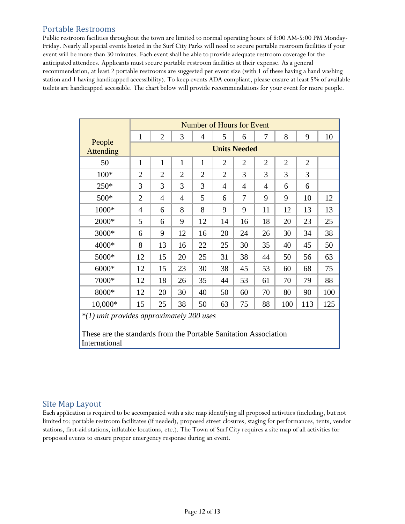### Portable Restrooms

Public restroom facilities throughout the town are limited to normal operating hours of 8:00 AM-5:00 PM Monday-Friday. Nearly all special events hosted in the Surf City Parks will need to secure portable restroom facilities if your event will be more than 30 minutes. Each event shall be able to provide adequate restroom coverage for the anticipated attendees. Applicants must secure portable restroom facilities at their expense. As a general recommendation, at least 2 portable restrooms are suggested per event size (with 1 of these having a hand washing station and 1 having handicapped accessibility). To keep events ADA compliant, please ensure at least 5% of available toilets are handicapped accessible. The chart below will provide recommendations for your event for more people.

|                                                                                                               | Number of Hours for Event |                |                |                |                |                |                |                |                |     |
|---------------------------------------------------------------------------------------------------------------|---------------------------|----------------|----------------|----------------|----------------|----------------|----------------|----------------|----------------|-----|
|                                                                                                               | $\mathbf{1}$              | $\overline{2}$ | 3              | $\overline{4}$ | 5              | 6              | 7              | 8              | 9              | 10  |
| People<br><b>Attending</b>                                                                                    | <b>Units Needed</b>       |                |                |                |                |                |                |                |                |     |
| 50                                                                                                            | $\mathbf{1}$              | 1              | $\mathbf{1}$   | 1              | $\overline{2}$ | $\overline{2}$ | $\overline{2}$ | $\overline{2}$ | $\overline{2}$ |     |
| $100*$                                                                                                        | $\overline{2}$            | $\overline{2}$ | $\overline{2}$ | $\overline{2}$ | $\overline{2}$ | 3              | 3              | 3              | 3              |     |
| $250*$                                                                                                        | 3                         | 3              | 3              | 3              | $\overline{4}$ | 4              | 4              | 6              | 6              |     |
| 500*                                                                                                          | $\overline{2}$            | $\overline{4}$ | 4              | 5              | 6              | 7              | 9              | 9              | 10             | 12  |
| 1000*                                                                                                         | $\overline{4}$            | 6              | 8              | 8              | 9              | 9              | 11             | 12             | 13             | 13  |
| 2000*                                                                                                         | 5                         | 6              | 9              | 12             | 14             | 16             | 18             | 20             | 23             | 25  |
| 3000*                                                                                                         | 6                         | 9              | 12             | 16             | 20             | 24             | 26             | 30             | 34             | 38  |
| 4000*                                                                                                         | 8                         | 13             | 16             | 22             | 25             | 30             | 35             | 40             | 45             | 50  |
| 5000*                                                                                                         | 12                        | 15             | 20             | 25             | 31             | 38             | 44             | 50             | 56             | 63  |
| 6000*                                                                                                         | 12                        | 15             | 23             | 30             | 38             | 45             | 53             | 60             | 68             | 75  |
| 7000*                                                                                                         | 12                        | 18             | 26             | 35             | 44             | 53             | 61             | 70             | 79             | 88  |
| 8000*                                                                                                         | 12                        | 20             | 30             | 40             | 50             | 60             | 70             | 80             | 90             | 100 |
| 10,000*                                                                                                       | 15                        | 25             | 38             | 50             | 63             | 75             | 88             | 100            | 113            | 125 |
| *(1) unit provides approximately 200 uses<br>These are the standards from the Portable Sanitation Association |                           |                |                |                |                |                |                |                |                |     |
| International                                                                                                 |                           |                |                |                |                |                |                |                |                |     |

### <span id="page-11-0"></span>Site Map Layout

Each application is required to be accompanied with a site map identifying all proposed activities (including, but not limited to: portable restroom facilitates (if needed), proposed street closures, staging for performances, tents, vendor stations, first-aid stations, inflatable locations, etc.). The Town of Surf City requires a site map of all activities for proposed events to ensure proper emergency response during an event.